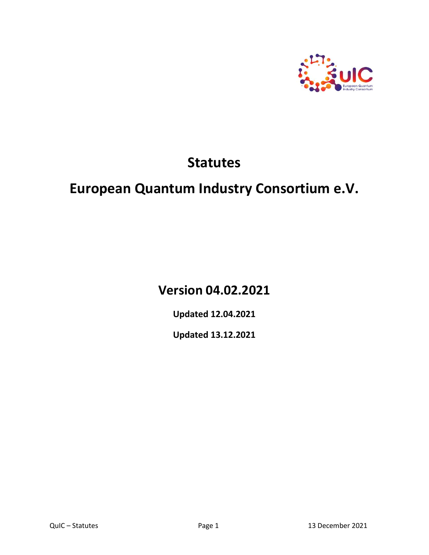

# **Statutes**

## **European Quantum Industry Consortium e.V.**

### **Version 04.02.2021**

**Updated 12.04.2021**

**Updated 13.12.2021**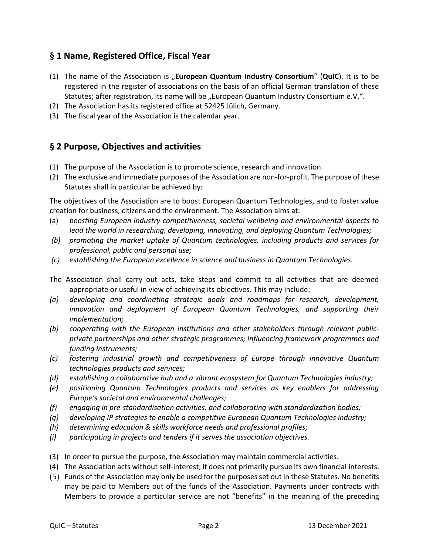#### **§ 1 Name, Registered Office, Fiscal Year**

- (1) The name of the Association is "European Quantum Industry Consortium" (QuIC). It is to be registered in the register of associations on the basis of an official German translation of these Statutes; after registration, its name will be "European Quantum Industry Consortium e.V.".
- (2) The Association has its registered office at 52425 Jülich, Germany.
- (3) The fiscal year of the Association is the calendar year.

#### **§ 2 Purpose, Objectives and activities**

- (1) The purpose of the Association is to promote science, research and innovation.
- (2) The exclusive and immediate purposes of the Association are non-for-profit. The purpose of these Statutes shall in particular be achieved by:

The objectives of the Association are to boost European Quantum Technologies, and to foster value creation for business, citizens and the environment. The Association aims at:

- (a) *boosting European industry competitiveness, societal wellbeing and environmental aspects to lead the world in researching, developing, innovating, and deploying Quantum Technologies;*
- *(b) promoting the market uptake of Quantum technologies, including products and services for professional, public and personal use;*
- *(c) establishing the European excellence in science and business in Quantum Technologies.*
- The Association shall carry out acts, take steps and commit to all activities that are deemed appropriate or useful in view of achieving its objectives. This may include:
- *(a) developing and coordinating strategic goals and roadmaps for research, development, innovation and deployment of European Quantum Technologies, and supporting their implementation;*
- *(b) cooperating with the European institutions and other stakeholders through relevant publicprivate partnerships and other strategic programmes; influencing framework programmes and funding instruments;*
- *(c) fostering industrial growth and competitiveness of Europe through innovative Quantum technologies products and services;*
- *(d) establishing a collaborative hub and a vibrant ecosystem for Quantum Technologies industry;*
- *(e) positioning Quantum Technologies products and services as key enablers for addressing Europe's societal and environmental challenges;*
- *(f) engaging in pre-standardisation activities, and collaborating with standardization bodies;*
- *(g) developing IP strategies to enable a competitive European Quantum Technologies industry;*
- *(h) determining education & skills workforce needs and professional profiles;*
- *(i) participating in projects and tenders if it serves the association objectives.*
- (3) In order to pursue the purpose, the Association may maintain commercial activities.
- (4) The Association acts without self‐interest; it does not primarily pursue its own financial interests.
- (5) Funds of the Association may only be used for the purposes set out in these Statutes. No benefits may be paid to Members out of the funds of the Association. Payments under contracts with Members to provide a particular service are not "benefits" in the meaning of the preceding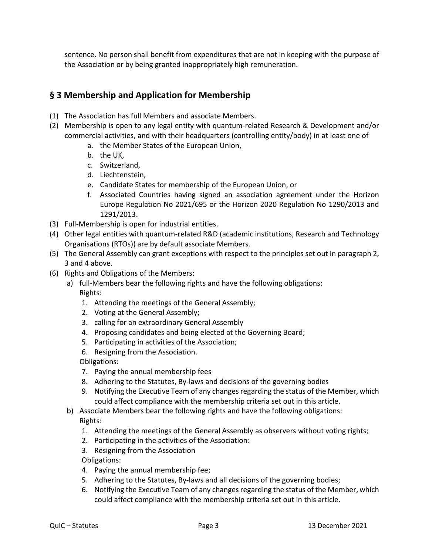sentence. No person shall benefit from expenditures that are not in keeping with the purpose of the Association or by being granted inappropriately high remuneration.

#### **§ 3 Membership and Application for Membership**

- (1) The Association has full Members and associate Members.
- (2) Membership is open to any legal entity with quantum-related Research & Development and/or commercial activities, and with their headquarters (controlling entity/body) in at least one of
	- a. the Member States of the European Union,
	- b. the UK,
	- c. Switzerland,
	- d. Liechtenstein,
	- e. Candidate States for membership of the European Union, or
	- f. Associated Countries having signed an association agreement under the Horizon Europe Regulation No 2021/695 or the Horizon 2020 Regulation No 1290/2013 and 1291/2013.
- (3) Full-Membership is open for industrial entities.
- (4) Other legal entities with quantum-related R&D (academic institutions, Research and Technology Organisations (RTOs)) are by default associate Members.
- (5) The General Assembly can grant exceptions with respect to the principles set out in paragraph 2, 3 and 4 above.
- (6) Rights and Obligations of the Members:
	- a) full-Members bear the following rights and have the following obligations: Rights:
		- 1. Attending the meetings of the General Assembly;
		- 2. Voting at the General Assembly;
		- 3. calling for an extraordinary General Assembly
		- 4. Proposing candidates and being elected at the Governing Board;
		- 5. Participating in activities of the Association;
		- 6. Resigning from the Association.

Obligations:

- 7. Paying the annual membership fees
- 8. Adhering to the Statutes, By-laws and decisions of the governing bodies
- 9. Notifying the Executive Team of any changes regarding the status of the Member, which could affect compliance with the membership criteria set out in this article.
- b) Associate Members bear the following rights and have the following obligations:

Rights:

- 1. Attending the meetings of the General Assembly as observers without voting rights;
- 2. Participating in the activities of the Association:
- 3. Resigning from the Association

Obligations:

- 4. Paying the annual membership fee;
- 5. Adhering to the Statutes, By-laws and all decisions of the governing bodies;
- 6. Notifying the Executive Team of any changes regarding the status of the Member, which could affect compliance with the membership criteria set out in this article.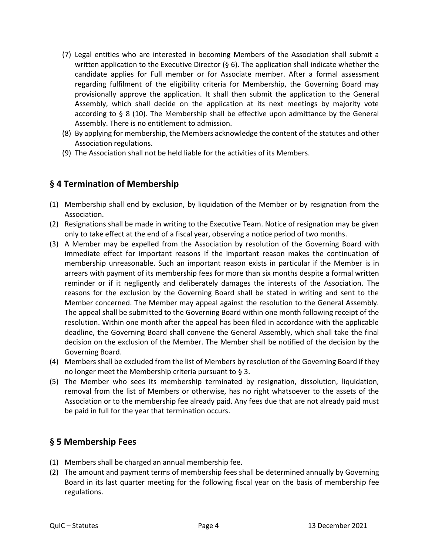- (7) Legal entities who are interested in becoming Members of the Association shall submit a written application to the Executive Director (§ 6). The application shall indicate whether the candidate applies for Full member or for Associate member. After a formal assessment regarding fulfilment of the eligibility criteria for Membership, the Governing Board may provisionally approve the application. It shall then submit the application to the General Assembly, which shall decide on the application at its next meetings by majority vote according to § 8 (10). The Membership shall be effective upon admittance by the General Assembly. There is no entitlement to admission.
- (8) By applying for membership, the Members acknowledge the content of the statutes and other Association regulations.
- (9) The Association shall not be held liable for the activities of its Members.

#### **§ 4 Termination of Membership**

- (1) Membership shall end by exclusion, by liquidation of the Member or by resignation from the Association.
- (2) Resignations shall be made in writing to the Executive Team. Notice of resignation may be given only to take effect at the end of a fiscal year, observing a notice period of two months.
- (3) A Member may be expelled from the Association by resolution of the Governing Board with immediate effect for important reasons if the important reason makes the continuation of membership unreasonable. Such an important reason exists in particular if the Member is in arrears with payment of its membership fees for more than six months despite a formal written reminder or if it negligently and deliberately damages the interests of the Association. The reasons for the exclusion by the Governing Board shall be stated in writing and sent to the Member concerned. The Member may appeal against the resolution to the General Assembly. The appeal shall be submitted to the Governing Board within one month following receipt of the resolution. Within one month after the appeal has been filed in accordance with the applicable deadline, the Governing Board shall convene the General Assembly, which shall take the final decision on the exclusion of the Member. The Member shall be notified of the decision by the Governing Board.
- (4) Members shall be excluded from the list of Members by resolution of the Governing Board if they no longer meet the Membership criteria pursuant to § 3.
- (5) The Member who sees its membership terminated by resignation, dissolution, liquidation, removal from the list of Members or otherwise, has no right whatsoever to the assets of the Association or to the membership fee already paid. Any fees due that are not already paid must be paid in full for the year that termination occurs.

#### **§ 5 Membership Fees**

- (1) Members shall be charged an annual membership fee.
- (2) The amount and payment terms of membership fees shall be determined annually by Governing Board in its last quarter meeting for the following fiscal year on the basis of membership fee regulations.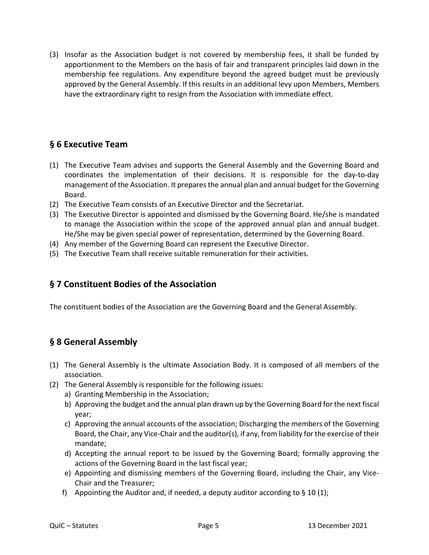(3) Insofar as the Association budget is not covered by membership fees, it shall be funded by apportionment to the Members on the basis of fair and transparent principles laid down in the membership fee regulations. Any expenditure beyond the agreed budget must be previously approved by the General Assembly. If this results in an additional levy upon Members, Members have the extraordinary right to resign from the Association with immediate effect.

#### **§ 6 Executive Team**

- (1) The Executive Team advises and supports the General Assembly and the Governing Board and coordinates the implementation of their decisions. It is responsible for the day-to-day management of the Association. It prepares the annual plan and annual budget for the Governing Board.
- (2) The Executive Team consists of an Executive Director and the Secretariat.
- (3) The Executive Director is appointed and dismissed by the Governing Board. He/she is mandated to manage the Association within the scope of the approved annual plan and annual budget. He/She may be given special power of representation, determined by the Governing Board.
- (4) Any member of the Governing Board can represent the Executive Director.
- (5) The Executive Team shall receive suitable remuneration for their activities.

#### **§ 7 Constituent Bodies of the Association**

The constituent bodies of the Association are the Governing Board and the General Assembly.

#### **§ 8 General Assembly**

- (1) The General Assembly is the ultimate Association Body. It is composed of all members of the association.
- (2) The General Assembly is responsible for the following issues:
	- a) Granting Membership in the Association;
	- b) Approving the budget and the annual plan drawn up by the Governing Board for the next fiscal year;
	- c) Approving the annual accounts of the association; Discharging the members of the Governing Board, the Chair, any Vice-Chair and the auditor(s), if any, from liability for the exercise of their mandate;
	- d) Accepting the annual report to be issued by the Governing Board; formally approving the actions of the Governing Board in the last fiscal year;
	- e) Appointing and dismissing members of the Governing Board, including the Chair, any Vice-Chair and the Treasurer;
	- f) Appointing the Auditor and, if needed, a deputy auditor according to  $\S 10(1)$ ;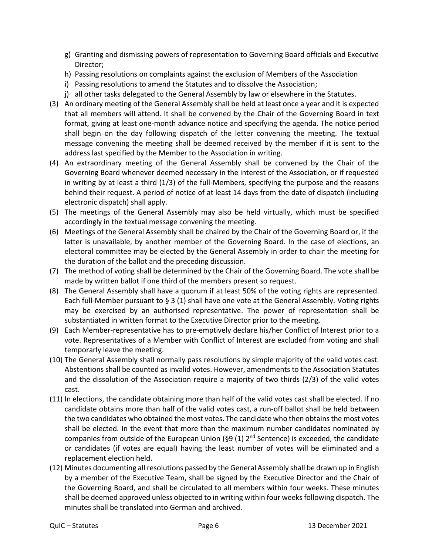- g) Granting and dismissing powers of representation to Governing Board officials and Executive Director;
- h) Passing resolutions on complaints against the exclusion of Members of the Association
- i) Passing resolutions to amend the Statutes and to dissolve the Association;
- j) all other tasks delegated to the General Assembly by law or elsewhere in the Statutes.
- (3) An ordinary meeting of the General Assembly shall be held at least once a year and it is expected that all members will attend. It shall be convened by the Chair of the Governing Board in text format, giving at least one-month advance notice and specifying the agenda. The notice period shall begin on the day following dispatch of the letter convening the meeting. The textual message convening the meeting shall be deemed received by the member if it is sent to the address last specified by the Member to the Association in writing.
- (4) An extraordinary meeting of the General Assembly shall be convened by the Chair of the Governing Board whenever deemed necessary in the interest of the Association, or if requested in writing by at least a third (1/3) of the full-Members, specifying the purpose and the reasons behind their request. A period of notice of at least 14 days from the date of dispatch (including electronic dispatch) shall apply.
- (5) The meetings of the General Assembly may also be held virtually, which must be specified accordingly in the textual message convening the meeting.
- (6) Meetings of the General Assembly shall be chaired by the Chair of the Governing Board or, if the latter is unavailable, by another member of the Governing Board. In the case of elections, an electoral committee may be elected by the General Assembly in order to chair the meeting for the duration of the ballot and the preceding discussion.
- (7) The method of voting shall be determined by the Chair of the Governing Board. The vote shall be made by written ballot if one third of the members present so request.
- (8) The General Assembly shall have a quorum if at least 50% of the voting rights are represented. Each full-Member pursuant to § 3 (1) shall have one vote at the General Assembly. Voting rights may be exercised by an authorised representative. The power of representation shall be substantiated in written format to the Executive Director prior to the meeting.
- (9) Each Member-representative has to pre-emptively declare his/her Conflict of Interest prior to a vote. Representatives of a Member with Conflict of Interest are excluded from voting and shall temporarly leave the meeting.
- (10) The General Assembly shall normally pass resolutions by simple majority of the valid votes cast. Abstentions shall be counted as invalid votes. However, amendments to the Association Statutes and the dissolution of the Association require a majority of two thirds (2/3) of the valid votes cast.
- (11) In elections, the candidate obtaining more than half of the valid votes cast shall be elected. If no candidate obtains more than half of the valid votes cast, a run‐off ballot shall be held between the two candidates who obtained the most votes. The candidate who then obtains the most votes shall be elected. In the event that more than the maximum number candidates nominated by companies from outside of the European Union (§9 (1)  $2^{nd}$  Sentence) is exceeded, the candidate or candidates (if votes are equal) having the least number of votes will be eliminated and a replacement election held.
- (12) Minutes documenting all resolutions passed by the General Assembly shall be drawn up in English by a member of the Executive Team, shall be signed by the Executive Director and the Chair of the Governing Board, and shall be circulated to all members within four weeks. These minutes shall be deemed approved unless objected to in writing within four weeks following dispatch. The minutes shall be translated into German and archived.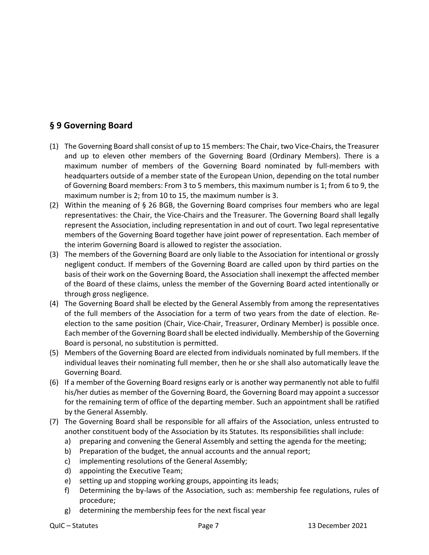#### **§ 9 Governing Board**

- (1) The Governing Board shall consist of up to 15 members: The Chair, two Vice-Chairs, the Treasurer and up to eleven other members of the Governing Board (Ordinary Members). There is a maximum number of members of the Governing Board nominated by full-members with headquarters outside of a member state of the European Union, depending on the total number of Governing Board members: From 3 to 5 members, this maximum number is 1; from 6 to 9, the maximum number is 2; from 10 to 15, the maximum number is 3.
- (2) Within the meaning of § 26 BGB, the Governing Board comprises four members who are legal representatives: the Chair, the Vice-Chairs and the Treasurer. The Governing Board shall legally represent the Association, including representation in and out of court. Two legal representative members of the Governing Board together have joint power of representation. Each member of the interim Governing Board is allowed to register the association.
- (3) The members of the Governing Board are only liable to the Association for intentional or grossly negligent conduct. If members of the Governing Board are called upon by third parties on the basis of their work on the Governing Board, the Association shall inexempt the affected member of the Board of these claims, unless the member of the Governing Board acted intentionally or through gross negligence.
- (4) The Governing Board shall be elected by the General Assembly from among the representatives of the full members of the Association for a term of two years from the date of election. Reelection to the same position (Chair, Vice-Chair, Treasurer, Ordinary Member) is possible once. Each member of the Governing Board shall be elected individually. Membership of the Governing Board is personal, no substitution is permitted.
- (5) Members of the Governing Board are elected from individuals nominated by full members. If the individual leaves their nominating full member, then he or she shall also automatically leave the Governing Board.
- (6) If a member of the Governing Board resigns early or is another way permanently not able to fulfil his/her duties as member of the Governing Board, the Governing Board may appoint a successor for the remaining term of office of the departing member. Such an appointment shall be ratified by the General Assembly.
- (7) The Governing Board shall be responsible for all affairs of the Association, unless entrusted to another constituent body of the Association by its Statutes. Its responsibilities shall include:
	- a) preparing and convening the General Assembly and setting the agenda for the meeting;
	- b) Preparation of the budget, the annual accounts and the annual report;
	- c) implementing resolutions of the General Assembly;
	- d) appointing the Executive Team;
	- e) setting up and stopping working groups, appointing its leads;
	- f) Determining the by-laws of the Association, such as: membership fee regulations, rules of procedure;
	- g) determining the membership fees for the next fiscal year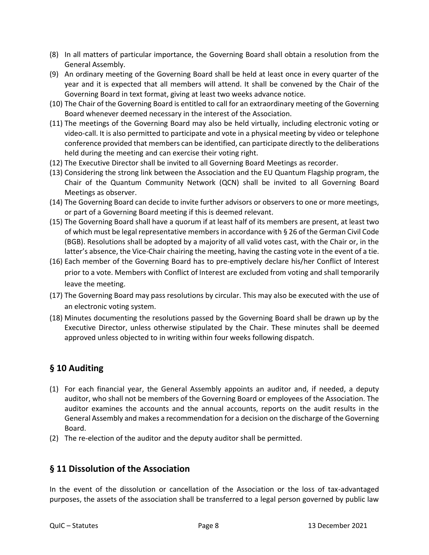- (8) In all matters of particular importance, the Governing Board shall obtain a resolution from the General Assembly.
- (9) An ordinary meeting of the Governing Board shall be held at least once in every quarter of the year and it is expected that all members will attend. It shall be convened by the Chair of the Governing Board in text format, giving at least two weeks advance notice.
- (10) The Chair of the Governing Board is entitled to call for an extraordinary meeting of the Governing Board whenever deemed necessary in the interest of the Association.
- (11) The meetings of the Governing Board may also be held virtually, including electronic voting or video-call. It is also permitted to participate and vote in a physical meeting by video or telephone conference provided that members can be identified, can participate directly to the deliberations held during the meeting and can exercise their voting right.
- (12) The Executive Director shall be invited to all Governing Board Meetings as recorder.
- (13) Considering the strong link between the Association and the EU Quantum Flagship program, the Chair of the Quantum Community Network (QCN) shall be invited to all Governing Board Meetings as observer.
- (14) The Governing Board can decide to invite further advisors or observers to one or more meetings, or part of a Governing Board meeting if this is deemed relevant.
- (15) The Governing Board shall have a quorum if at least half of its members are present, at least two of which must be legal representative members in accordance with § 26 of the German Civil Code (BGB). Resolutions shall be adopted by a majority of all valid votes cast, with the Chair or, in the latter's absence, the Vice-Chair chairing the meeting, having the casting vote in the event of a tie.
- (16) Each member of the Governing Board has to pre-emptively declare his/her Conflict of Interest prior to a vote. Members with Conflict of Interest are excluded from voting and shall temporarily leave the meeting.
- (17) The Governing Board may pass resolutions by circular. This may also be executed with the use of an electronic voting system.
- (18) Minutes documenting the resolutions passed by the Governing Board shall be drawn up by the Executive Director, unless otherwise stipulated by the Chair. These minutes shall be deemed approved unless objected to in writing within four weeks following dispatch.

#### **§ 10 Auditing**

- (1) For each financial year, the General Assembly appoints an auditor and, if needed, a deputy auditor, who shall not be members of the Governing Board or employees of the Association. The auditor examines the accounts and the annual accounts, reports on the audit results in the General Assembly and makes a recommendation for a decision on the discharge of the Governing Board.
- (2) The re-election of the auditor and the deputy auditor shall be permitted.

#### **§ 11 Dissolution of the Association**

In the event of the dissolution or cancellation of the Association or the loss of tax-advantaged purposes, the assets of the association shall be transferred to a legal person governed by public law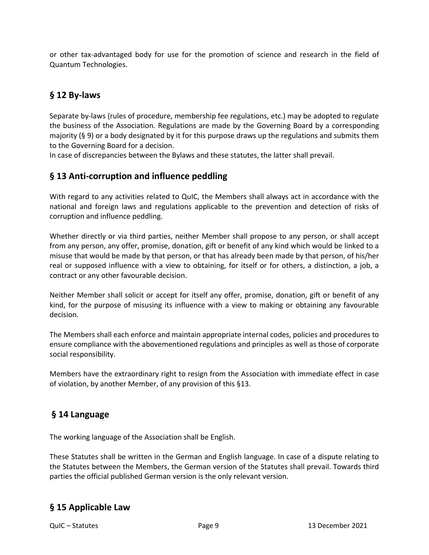or other tax-advantaged body for use for the promotion of science and research in the field of Quantum Technologies.

### **§ 12 By-laws**

Separate by-laws (rules of procedure, membership fee regulations, etc.) may be adopted to regulate the business of the Association. Regulations are made by the Governing Board by a corresponding majority (§ 9) or a body designated by it for this purpose draws up the regulations and submits them to the Governing Board for a decision.

In case of discrepancies between the Bylaws and these statutes, the latter shall prevail.

#### **§ 13 Anti-corruption and influence peddling**

With regard to any activities related to QuIC, the Members shall always act in accordance with the national and foreign laws and regulations applicable to the prevention and detection of risks of corruption and influence peddling.

Whether directly or via third parties, neither Member shall propose to any person, or shall accept from any person, any offer, promise, donation, gift or benefit of any kind which would be linked to a misuse that would be made by that person, or that has already been made by that person, of his/her real or supposed influence with a view to obtaining, for itself or for others, a distinction, a job, a contract or any other favourable decision.

Neither Member shall solicit or accept for itself any offer, promise, donation, gift or benefit of any kind, for the purpose of misusing its influence with a view to making or obtaining any favourable decision.

The Members shall each enforce and maintain appropriate internal codes, policies and procedures to ensure compliance with the abovementioned regulations and principles as well as those of corporate social responsibility.

Members have the extraordinary right to resign from the Association with immediate effect in case of violation, by another Member, of any provision of this §13.

#### **§ 14 Language**

The working language of the Association shall be English.

These Statutes shall be written in the German and English language. In case of a dispute relating to the Statutes between the Members, the German version of the Statutes shall prevail. Towards third parties the official published German version is the only relevant version.

#### **§ 15 Applicable Law**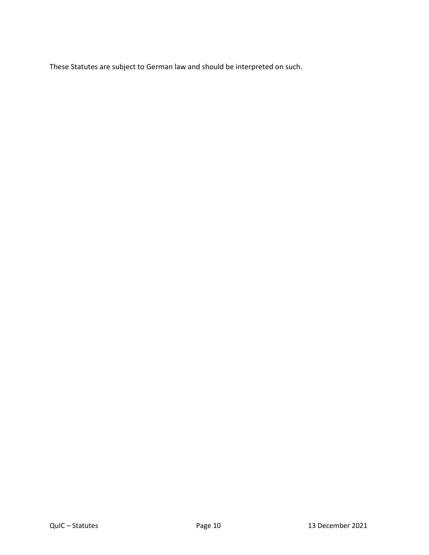These Statutes are subject to German law and should be interpreted on such.